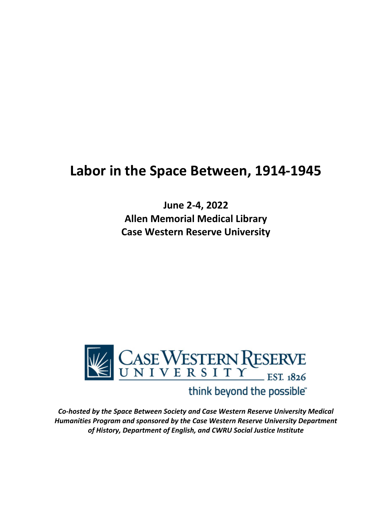# **Labor in the Space Between, 1914-1945**

**June 2-4, 2022 Allen Memorial Medical Library Case Western Reserve University**



# think beyond the possible"

*Co-hosted by the Space Between Society and Case Western Reserve University Medical Humanities Program and sponsored by the Case Western Reserve University Department of History, Department of English, and CWRU Social Justice Institute*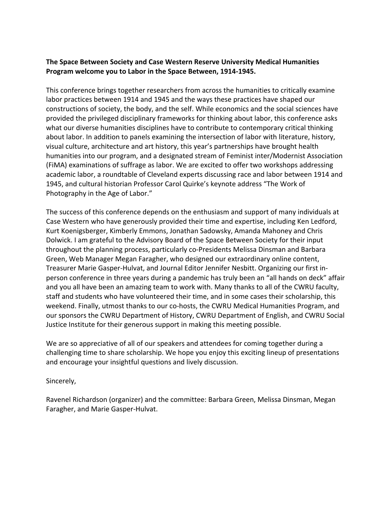### **The Space Between Society and Case Western Reserve University Medical Humanities Program welcome you to Labor in the Space Between, 1914-1945.**

This conference brings together researchers from across the humanities to critically examine labor practices between 1914 and 1945 and the ways these practices have shaped our constructions of society, the body, and the self. While economics and the social sciences have provided the privileged disciplinary frameworks for thinking about labor, this conference asks what our diverse humanities disciplines have to contribute to contemporary critical thinking about labor. In addition to panels examining the intersection of labor with literature, history, visual culture, architecture and art history, this year's partnerships have brought health humanities into our program, and a designated stream of Feminist inter/Modernist Association (FiMA) examinations of suffrage as labor. We are excited to offer two workshops addressing academic labor, a roundtable of Cleveland experts discussing race and labor between 1914 and 1945, and cultural historian Professor Carol Quirke's keynote address "The Work of Photography in the Age of Labor."

The success of this conference depends on the enthusiasm and support of many individuals at Case Western who have generously provided their time and expertise, including Ken Ledford, Kurt Koenigsberger, Kimberly Emmons, Jonathan Sadowsky, Amanda Mahoney and Chris Dolwick. I am grateful to the Advisory Board of the Space Between Society for their input throughout the planning process, particularly co-Presidents Melissa Dinsman and Barbara Green, Web Manager Megan Faragher, who designed our extraordinary online content, Treasurer Marie Gasper-Hulvat, and Journal Editor Jennifer Nesbitt. Organizing our first inperson conference in three years during a pandemic has truly been an "all hands on deck" affair and you all have been an amazing team to work with. Many thanks to all of the CWRU faculty, staff and students who have volunteered their time, and in some cases their scholarship, this weekend. Finally, utmost thanks to our co-hosts, the CWRU Medical Humanities Program, and our sponsors the CWRU Department of History, CWRU Department of English, and CWRU Social Justice Institute for their generous support in making this meeting possible.

We are so appreciative of all of our speakers and attendees for coming together during a challenging time to share scholarship. We hope you enjoy this exciting lineup of presentations and encourage your insightful questions and lively discussion.

#### Sincerely,

Ravenel Richardson (organizer) and the committee: Barbara Green, Melissa Dinsman, Megan Faragher, and Marie Gasper-Hulvat.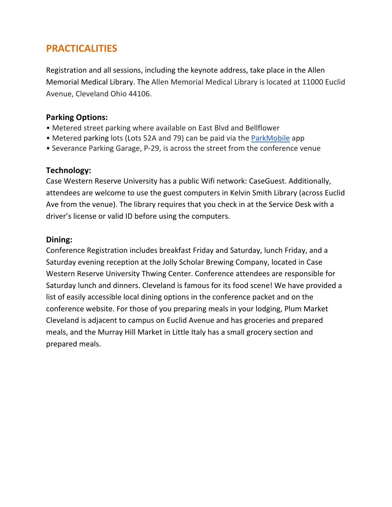# **PRACTICALITIES**

Registration and all sessions, including the keynote address, take place in the Allen Memorial Medical Library. The Allen Memorial Medical Library is located at 11000 Euclid Avenue, Cleveland Ohio 44106.

# **Parking Options:**

- Metered street parking where available on East Blvd and Bellflower
- Metered parking lots (Lots 52A and 79) can be paid via the ParkMobile app
- Severance Parking Garage, P-29, is across the street from the conference venue

# **Technology:**

Case Western Reserve University has a public Wifi network: CaseGuest. Additionally, attendees are welcome to use the guest computers in Kelvin Smith Library (across Euclid Ave from the venue). The library requires that you check in at the Service Desk with a driver's license or valid ID before using the computers.

# **Dining:**

Conference Registration includes breakfast Friday and Saturday, lunch Friday, and a Saturday evening reception at the Jolly Scholar Brewing Company, located in Case Western Reserve University Thwing Center. Conference attendees are responsible for Saturday lunch and dinners. Cleveland is famous for its food scene! We have provided a list of easily accessible local dining options in the conference packet and on the conference website. For those of you preparing meals in your lodging, Plum Market Cleveland is adjacent to campus on Euclid Avenue and has groceries and prepared meals, and the Murray Hill Market in Little Italy has a small grocery section and prepared meals.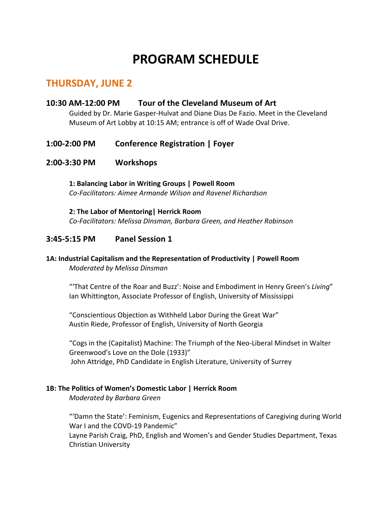# **PROGRAM SCHEDULE**

# **THURSDAY, JUNE 2**

### **10:30 AM-12:00 PM Tour of the Cleveland Museum of Art**

Guided by Dr. Marie Gasper-Hulvat and Diane Dias De Fazio. Meet in the Cleveland Museum of Art Lobby at 10:15 AM; entrance is off of Wade Oval Drive.

## **1:00-2:00 PM Conference Registration | Foyer**

#### **2:00-3:30 PM Workshops**

**1: Balancing Labor in Writing Groups | Powell Room** *Co-Facilitators: Aimee Armande Wilson and Ravenel Richardson*

**2: The Labor of Mentoring| Herrick Room** *Co-Facilitators: Melissa DInsman, Barbara Green, and Heather Robinson* 

### **3:45-5:15 PM Panel Session 1**

#### **1A: Industrial Capitalism and the Representation of Productivity | Powell Room** *Moderated by Melissa Dinsman*

"'That Centre of the Roar and Buzz': Noise and Embodiment in Henry Green's *Living*" Ian Whittington, Associate Professor of English, University of Mississippi

"Conscientious Objection as Withheld Labor During the Great War" Austin Riede, Professor of English, University of North Georgia

"Cogs in the (Capitalist) Machine: The Triumph of the Neo-Liberal Mindset in Walter Greenwood's Love on the Dole (1933)" John Attridge, PhD Candidate in English Literature, University of Surrey

#### **1B: The Politics of Women's Domestic Labor | Herrick Room**

*Moderated by Barbara Green*

"'Damn the State': Feminism, Eugenics and Representations of Caregiving during World War I and the COVD-19 Pandemic" Layne Parish Craig, PhD, English and Women's and Gender Studies Department, Texas Christian University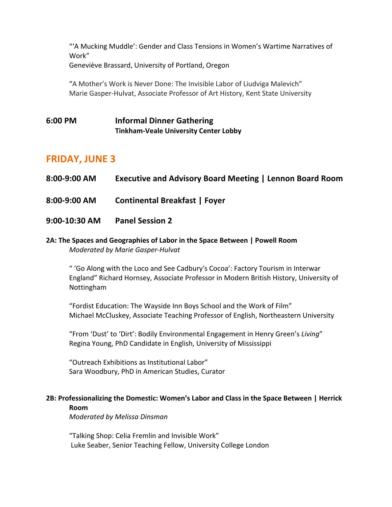"'A Mucking Muddle': Gender and Class Tensions in Women's Wartime Narratives of Work" Geneviève Brassard, University of Portland, Oregon

"A Mother's Work is Never Done: The Invisible Labor of Liudviga Malevich" Marie Gasper-Hulvat, Associate Professor of Art History, Kent State University

# **6:00 PM Informal Dinner Gathering Tinkham-Veale University Center Lobby**

# **FRIDAY, JUNE 3**

- **8:00-9:00 AM Executive and Advisory Board Meeting | Lennon Board Room**
- **8:00-9:00 AM Continental Breakfast | Foyer**
- **9:00-10:30 AM Panel Session 2**

#### **2A: The Spaces and Geographies of Labor in the Space Between | Powell Room** *Moderated by Marie Gasper-Hulvat*

" 'Go Along with the Loco and See Cadbury's Cocoa': Factory Tourism in Interwar England" Richard Hornsey, Associate Professor in Modern British History, University of Nottingham

"Fordist Education: The Wayside Inn Boys School and the Work of Film" Michael McCluskey, Associate Teaching Professor of English, Northeastern University

"From 'Dust' to 'Dirt': Bodily Environmental Engagement in Henry Green's *Living*" Regina Young, PhD Candidate in English, University of Mississippi

"Outreach Exhibitions as Institutional Labor" Sara Woodbury, PhD in American Studies, Curator

### **2B: Professionalizing the Domestic: Women's Labor and Class in the Space Between | Herrick Room**

*Moderated by Melissa Dinsman*

"Talking Shop: Celia Fremlin and Invisible Work" Luke Seaber, Senior Teaching Fellow, University College London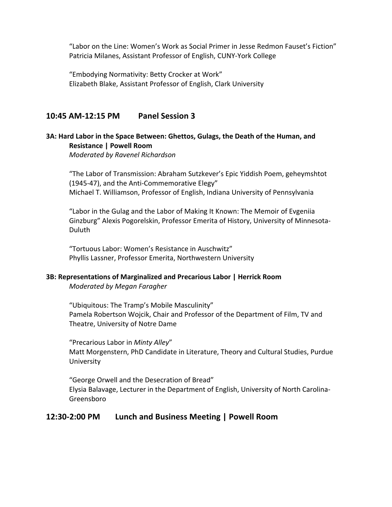"Labor on the Line: Women's Work as Social Primer in Jesse Redmon Fauset's Fiction" Patricia Milanes, Assistant Professor of English, CUNY-York College

"Embodying Normativity: Betty Crocker at Work" Elizabeth Blake, Assistant Professor of English, Clark University

# **10:45 AM-12:15 PM Panel Session 3**

#### **3A: Hard Labor in the Space Between: Ghettos, Gulags, the Death of the Human, and Resistance | Powell Room**

*Moderated by Ravenel Richardson*

"The Labor of Transmission: Abraham Sutzkever's Epic Yiddish Poem, geheymshtot (1945-47), and the Anti-Commemorative Elegy" Michael T. Williamson, Professor of English, Indiana University of Pennsylvania

"Labor in the Gulag and the Labor of Making It Known: The Memoir of Evgeniia Ginzburg" Alexis Pogorelskin, Professor Emerita of History, University of Minnesota-Duluth

"Tortuous Labor: Women's Resistance in Auschwitz" Phyllis Lassner, Professor Emerita, Northwestern University

#### **3B: Representations of Marginalized and Precarious Labor | Herrick Room**

*Moderated by Megan Faragher*

"Ubiquitous: The Tramp's Mobile Masculinity" Pamela Robertson Wojcik, Chair and Professor of the Department of Film, TV and Theatre, University of Notre Dame

"Precarious Labor in *Minty Alley*" Matt Morgenstern, PhD Candidate in Literature, Theory and Cultural Studies, Purdue University

"George Orwell and the Desecration of Bread" Elysia Balavage, Lecturer in the Department of English, University of North Carolina-Greensboro

### **12:30-2:00 PM Lunch and Business Meeting | Powell Room**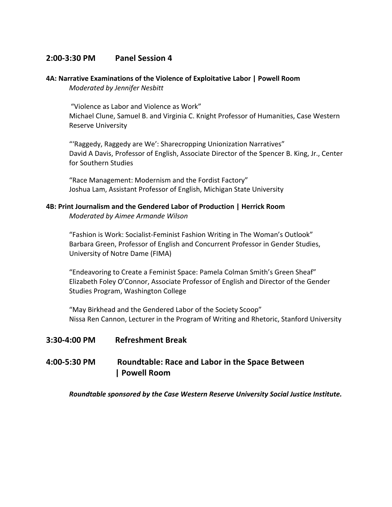# **2:00-3:30 PM Panel Session 4**

#### **4A: Narrative Examinations of the Violence of Exploitative Labor | Powell Room** *Moderated by Jennifer Nesbitt*

"Violence as Labor and Violence as Work" Michael Clune, Samuel B. and Virginia C. Knight Professor of Humanities, Case Western Reserve University

"'Raggedy, Raggedy are We': Sharecropping Unionization Narratives" David A Davis, Professor of English, Associate Director of the Spencer B. King, Jr., Center for Southern Studies

"Race Management: Modernism and the Fordist Factory" Joshua Lam, Assistant Professor of English, Michigan State University

#### **4B: Print Journalism and the Gendered Labor of Production | Herrick Room**

*Moderated by Aimee Armande Wilson*

"Fashion is Work: Socialist-Feminist Fashion Writing in The Woman's Outlook" Barbara Green, Professor of English and Concurrent Professor in Gender Studies, University of Notre Dame (FIMA)

"Endeavoring to Create a Feminist Space: Pamela Colman Smith's Green Sheaf" Elizabeth Foley O'Connor, Associate Professor of English and Director of the Gender Studies Program, Washington College

"May Birkhead and the Gendered Labor of the Society Scoop" Nissa Ren Cannon, Lecturer in the Program of Writing and Rhetoric, Stanford University

### **3:30-4:00 PM Refreshment Break**

# **4:00-5:30 PM Roundtable: Race and Labor in the Space Between | Powell Room**

*Roundtable sponsored by the Case Western Reserve University Social Justice Institute.*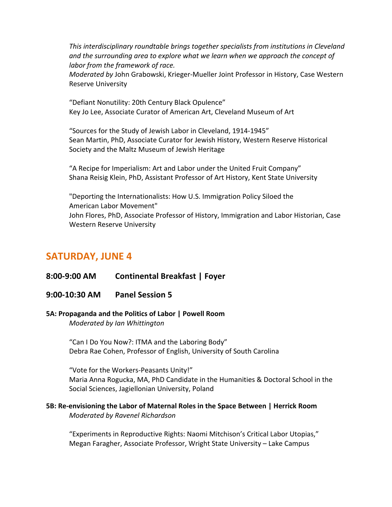*This interdisciplinary roundtable brings together specialists from institutions in Cleveland and the surrounding area to explore what we learn when we approach the concept of labor from the framework of race.*

*Moderated by* John Grabowski, Krieger-Mueller Joint Professor in History, Case Western Reserve University

"Defiant Nonutility: 20th Century Black Opulence" Key Jo Lee, Associate Curator of American Art, Cleveland Museum of Art

"Sources for the Study of Jewish Labor in Cleveland, 1914-1945" Sean Martin, PhD, Associate Curator for Jewish History, Western Reserve Historical Society and the Maltz Museum of Jewish Heritage

"A Recipe for Imperialism: Art and Labor under the United Fruit Company" Shana Reisig Klein, PhD, Assistant Professor of Art History, Kent State University

"Deporting the Internationalists: How U.S. Immigration Policy Siloed the American Labor Movement" John Flores, PhD, Associate Professor of History, Immigration and Labor Historian, Case Western Reserve University

# **SATURDAY, JUNE 4**

# **8:00-9:00 AM Continental Breakfast | Foyer**

### **9:00-10:30 AM Panel Session 5**

#### **5A: Propaganda and the Politics of Labor | Powell Room** *Moderated by Ian Whittington*

"Can I Do You Now?: ITMA and the Laboring Body" Debra Rae Cohen, Professor of English, University of South Carolina

"Vote for the Workers-Peasants Unity!" Maria Anna Rogucka, MA, PhD Candidate in the Humanities & Doctoral School in the Social Sciences, Jagiellonian University, Poland

### **5B: Re-envisioning the Labor of Maternal Roles in the Space Between | Herrick Room** *Moderated by Ravenel Richardson*

"Experiments in Reproductive Rights: Naomi Mitchison's Critical Labor Utopias," Megan Faragher, Associate Professor, Wright State University – Lake Campus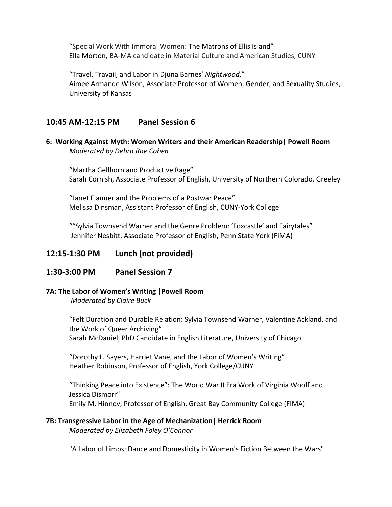"Special Work With Immoral Women: The Matrons of Ellis Island" Ella Morton, BA-MA candidate in Material Culture and American Studies, CUNY

"Travel, Travail, and Labor in Djuna Barnes' *Nightwood*," Aimee Armande Wilson, Associate Professor of Women, Gender, and Sexuality Studies, University of Kansas

# **10:45 AM-12:15 PM Panel Session 6**

**6: Working Against Myth: Women Writers and their American Readership| Powell Room** *Moderated by Debra Rae Cohen*

"Martha Gellhorn and Productive Rage" Sarah Cornish, Associate Professor of English, University of Northern Colorado, Greeley

"Janet Flanner and the Problems of a Postwar Peace" Melissa Dinsman, Assistant Professor of English, CUNY-York College

""Sylvia Townsend Warner and the Genre Problem: 'Foxcastle' and Fairytales" Jennifer Nesbitt, Associate Professor of English, Penn State York (FIMA)

### **12:15-1:30 PM Lunch (not provided)**

#### **1:30-3:00 PM Panel Session 7**

#### **7A: The Labor of Women's Writing |Powell Room**

*Moderated by Claire Buck*

"Felt Duration and Durable Relation: Sylvia Townsend Warner, Valentine Ackland, and the Work of Queer Archiving" Sarah McDaniel, PhD Candidate in English Literature, University of Chicago

"Dorothy L. Sayers, Harriet Vane, and the Labor of Women's Writing" Heather Robinson, Professor of English, York College/CUNY

"Thinking Peace into Existence": The World War II Era Work of Virginia Woolf and Jessica Dismorr" Emily M. Hinnov, Professor of English, Great Bay Community College (FIMA)

# **7B: Transgressive Labor in the Age of Mechanization| Herrick Room**

*Moderated by Elizabeth Foley O'Connor*

"A Labor of Limbs: Dance and Domesticity in Women's Fiction Between the Wars"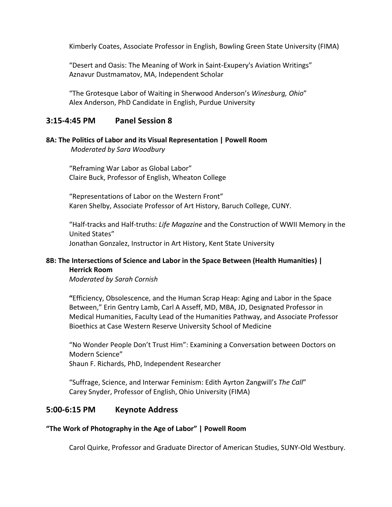Kimberly Coates, Associate Professor in English, Bowling Green State University (FIMA)

"Desert and Oasis: The Meaning of Work in Saint-Exupery's Aviation Writings" Aznavur Dustmamatov, MA, Independent Scholar

"The Grotesque Labor of Waiting in Sherwood Anderson's *Winesburg, Ohio*" Alex Anderson, PhD Candidate in English, Purdue University

## **3:15-4:45 PM Panel Session 8**

#### **8A: The Politics of Labor and its Visual Representation | Powell Room** *Moderated by Sara Woodbury*

"Reframing War Labor as Global Labor" Claire Buck, Professor of English, Wheaton College

"Representations of Labor on the Western Front" Karen Shelby, Associate Professor of Art History, Baruch College, CUNY.

"Half-tracks and Half-truths: *Life Magazine* and the Construction of WWII Memory in the United States" Jonathan Gonzalez, Instructor in Art History, Kent State University

#### **8B: The Intersections of Science and Labor in the Space Between (Health Humanities) | Herrick Room**

*Moderated by Sarah Cornish*

**"**Efficiency, Obsolescence, and the Human Scrap Heap: Aging and Labor in the Space Between," Erin Gentry Lamb, Carl A Asseff, MD, MBA, JD, Designated Professor in Medical Humanities, Faculty Lead of the Humanities Pathway, and Associate Professor Bioethics at Case Western Reserve University School of Medicine

"No Wonder People Don't Trust Him": Examining a Conversation between Doctors on Modern Science" Shaun F. Richards, PhD, Independent Researcher

"Suffrage, Science, and Interwar Feminism: Edith Ayrton Zangwill's *The Call*" Carey Snyder, Professor of English, Ohio University (FIMA)

### **5:00-6:15 PM Keynote Address**

#### **"The Work of Photography in the Age of Labor" | Powell Room**

Carol Quirke, Professor and Graduate Director of American Studies, SUNY-Old Westbury.